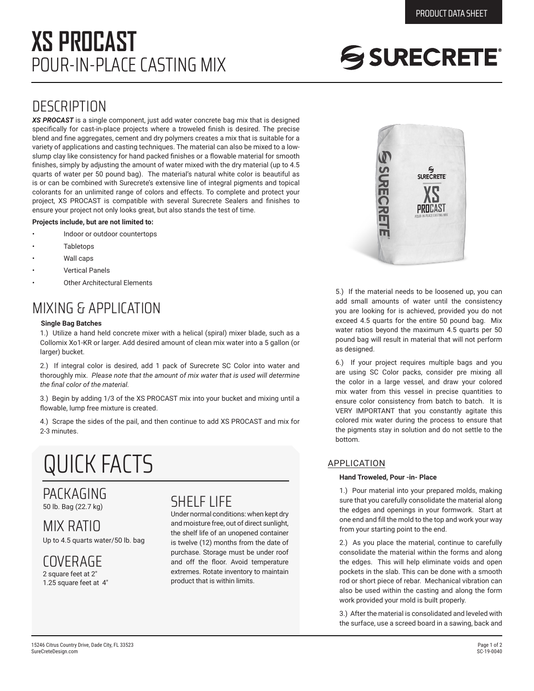## POUR-IN-PLACE CASTING MIX **XS PROCAST**

# SSURECRETE®

### **DESCRIPTION**

*XS PROCAST* is a single component, just add water concrete bag mix that is designed specifically for cast-in-place projects where a troweled finish is desired. The precise blend and fine aggregates, cement and dry polymers creates a mix that is suitable for a variety of applications and casting techniques. The material can also be mixed to a lowslump clay like consistency for hand packed finishes or a flowable material for smooth finishes, simply by adjusting the amount of water mixed with the dry material (up to 4.5 quarts of water per 50 pound bag). The material's natural white color is beautiful as is or can be combined with Surecrete's extensive line of integral pigments and topical colorants for an unlimited range of colors and effects. To complete and protect your project, XS PROCAST is compatible with several Surecrete Sealers and finishes to ensure your project not only looks great, but also stands the test of time.

#### **Projects include, but are not limited to:**

- Indoor or outdoor countertops
- **Tabletops**
- Wall caps
- Vertical Panels
- **Other Architectural Elements**

### MIXING & APPLICATION

#### **Single Bag Batches**

1.) Utilize a hand held concrete mixer with a helical (spiral) mixer blade, such as a Collomix Xo1-KR or larger. Add desired amount of clean mix water into a 5 gallon (or larger) bucket.

2.) If integral color is desired, add 1 pack of Surecrete SC Color into water and thoroughly mix. *Please note that the amount of mix water that is used will determine the final color of the material.*

3.) Begin by adding 1/3 of the XS PROCAST mix into your bucket and mixing until a flowable, lump free mixture is created.

4.) Scrape the sides of the pail, and then continue to add XS PROCAST and mix for 2-3 minutes.

## QUICK FACTS

#### PACKAGING 50 lb. Bag (22.7 kg)

MIX RATIO Up to 4.5 quarts water/50 lb. bag

COVERAGE 2 square feet at 2"

1.25 square feet at 4"

### SHELF LIFE

Under normal conditions: when kept dry and moisture free, out of direct sunlight, the shelf life of an unopened container is twelve (12) months from the date of purchase. Storage must be under roof and off the floor. Avoid temperature extremes. Rotate inventory to maintain product that is within limits.



5.) If the material needs to be loosened up, you can add small amounts of water until the consistency you are looking for is achieved, provided you do not exceed 4.5 quarts for the entire 50 pound bag. Mix water ratios beyond the maximum 4.5 quarts per 50 pound bag will result in material that will not perform as designed.

6.) If your project requires multiple bags and you are using SC Color packs, consider pre mixing all the color in a large vessel, and draw your colored mix water from this vessel in precise quantities to ensure color consistency from batch to batch. It is VERY IMPORTANT that you constantly agitate this colored mix water during the process to ensure that the pigments stay in solution and do not settle to the bottom.

#### APPLICATION

#### **Hand Troweled, Pour -in- Place**

1.) Pour material into your prepared molds, making sure that you carefully consolidate the material along the edges and openings in your formwork. Start at one end and fill the mold to the top and work your way from your starting point to the end.

2.) As you place the material, continue to carefully consolidate the material within the forms and along the edges. This will help eliminate voids and open pockets in the slab. This can be done with a smooth rod or short piece of rebar. Mechanical vibration can also be used within the casting and along the form work provided your mold is built properly.

3.) After the material is consolidated and leveled with the surface, use a screed board in a sawing, back and